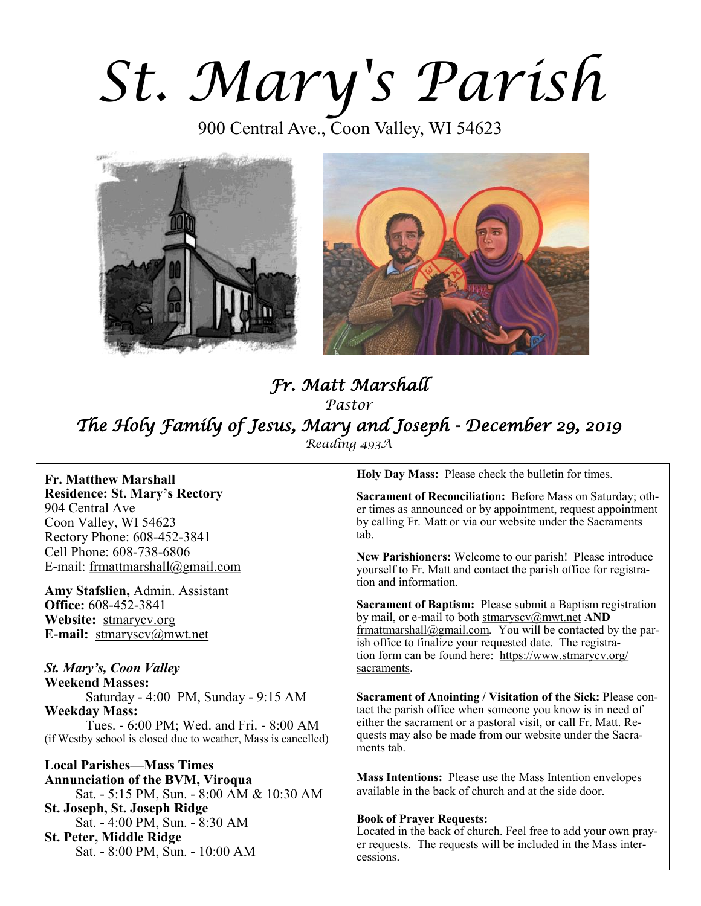# *St. Mary's Parish*

900 Central Ave., Coon Valley, WI 54623





# *Fr. Matt Marshall Pastor The Holy Family of Jesus, Mary and Joseph - December 29, 2019 Reading 493A*

**Fr. Matthew Marshall Residence: St. Mary's Rectory** 904 Central Ave Coon Valley, WI 54623 Rectory Phone: 608-452-3841 Cell Phone: 608-738-6806 E-mail: [frmattmarshall@gmail.com](mailto:frmattmarshall@gmail.com)

**Amy Stafslien,** Admin. Assistant **Office:** 608-452-3841 **Website:** <stmarycv.org> **E-mail:** [stmaryscv@mwt.net](mailto:stmaryscv@mwt.net)

#### *St. Mary's, Coon Valley*

**Weekend Masses:** Saturday - 4:00 PM, Sunday - 9:15 AM **Weekday Mass:**  Tues. - 6:00 PM; Wed. and Fri. - 8:00 AM (if Westby school is closed due to weather, Mass is cancelled)

**Local Parishes—Mass Times Annunciation of the BVM, Viroqua** Sat. - 5:15 PM, Sun. - 8:00 AM & 10:30 AM **St. Joseph, St. Joseph Ridge** Sat. - 4:00 PM, Sun. - 8:30 AM **St. Peter, Middle Ridge** Sat. - 8:00 PM, Sun. - 10:00 AM

**Holy Day Mass:** Please check the bulletin for times.

**Sacrament of Reconciliation:** Before Mass on Saturday; other times as announced or by appointment, request appointment by calling Fr. Matt or via our website under the Sacraments tab.

**New Parishioners:** Welcome to our parish! Please introduce yourself to Fr. Matt and contact the parish office for registration and information.

**Sacrament of Baptism:** Please submit a Baptism registration by mail, or e-mail to both [stmaryscv@mwt.net](mailto:stmaryscv@mwt.net) **AND** [frmattmarshall@gmail.com](mailto:frmattmarshall@gmail.com)*.* You will be contacted by the parish office to finalize your requested date. The registration form can be found here: [https://www.stmarycv.org/](https://www.stmarycv.org/sacraments) [sacraments.](https://www.stmarycv.org/sacraments) 

**Sacrament of Anointing / Visitation of the Sick:** Please contact the parish office when someone you know is in need of either the sacrament or a pastoral visit, or call Fr. Matt. Requests may also be made from our website under the Sacraments tab.

**Mass Intentions:** Please use the Mass Intention envelopes available in the back of church and at the side door.

#### **Book of Prayer Requests:**

Located in the back of church. Feel free to add your own prayer requests. The requests will be included in the Mass intercessions.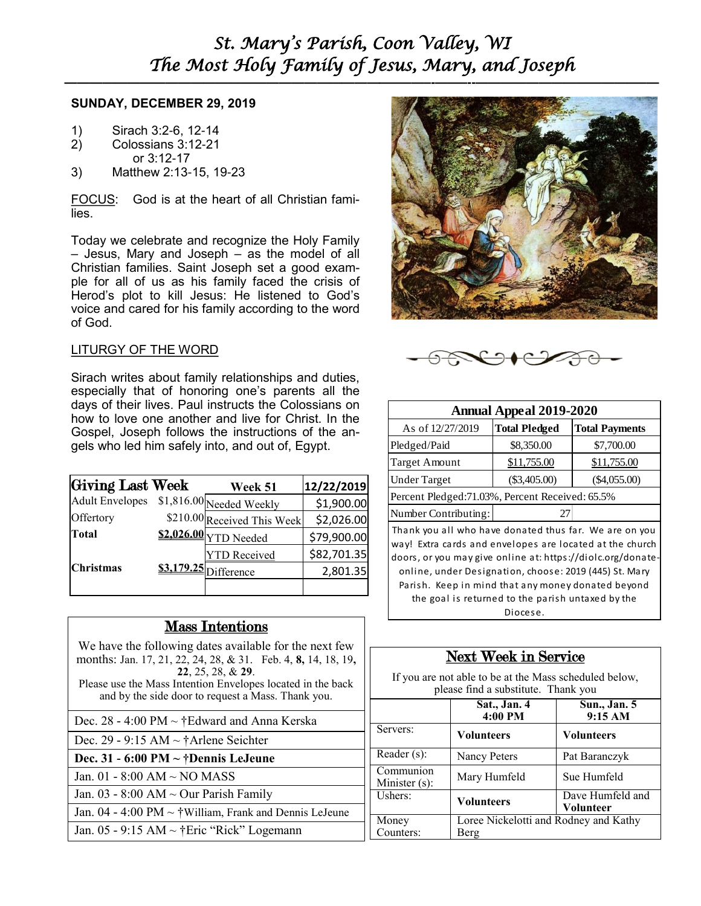#### **SUNDAY, DECEMBER 29, 2019**

- 1) Sirach 3:2-6, 12-14<br>2) Colossians 3:12-21
- 2) Colossians 3:12-21
- or 3:12-17
- 3) Matthew 2:13-15, 19-23

FOCUS: God is at the heart of all Christian families.

Today we celebrate and recognize the Holy Family – Jesus, Mary and Joseph – as the model of all Christian families. Saint Joseph set a good example for all of us as his family faced the crisis of Herod's plot to kill Jesus: He listened to God's voice and cared for his family according to the word of God.

#### LITURGY OF THE WORD

Sirach writes about family relationships and duties, especially that of honoring one's parents all the days of their lives. Paul instructs the Colossians on how to love one another and live for Christ. In the Gospel, Joseph follows the instructions of the angels who led him safely into, and out of, Egypt.

| Giving Last Week       | <b>Week 51</b>              | 12/22/2019  |
|------------------------|-----------------------------|-------------|
| <b>Adult Envelopes</b> | \$1,816.00 Needed Weekly    | \$1,900.00  |
| Offertory              | \$210.00 Received This Week | \$2,026.00  |
| Total                  | \$2,026.00 YTD Needed       | \$79,900.00 |
|                        | <b>YTD</b> Received         | \$82,701.35 |
| <b>Christmas</b>       | $$3.179.25$ Difference      | 2,801.35    |
|                        |                             |             |

#### Mass Intentions

We have the following dates available for the next few months: Jan. 17, 21, 22, 24, 28, & 31. Feb. 4, **8,** 14, 18, 19**, 22**, 25, 28, & **29**. Please use the Mass Intention Envelopes located in the back and by the side door to request a Mass. Thank you.

| Dec. 28 - 4:00 PM $\sim$ †Edward and Anna Kerska |
|--------------------------------------------------|
|                                                  |

Dec. 29 - 9:15 AM ~ †Arlene Seichter

**Dec. 31 - 6:00 PM ~ †Dennis LeJeune**

Jan. 01 - 8:00 AM ~ NO MASS

Jan.  $03 - 8:00$  AM  $\sim$  Our Parish Family

Jan. 04 - 4:00 PM ~ †William, Frank and Dennis LeJeune

Jan. 05 - 9:15 AM ~ †Eric "Rick" Logemann





| <b>Annual Appeal 2019-2020</b>                                                                                                                                                                                                                                                                    |                      |                       |  |  |
|---------------------------------------------------------------------------------------------------------------------------------------------------------------------------------------------------------------------------------------------------------------------------------------------------|----------------------|-----------------------|--|--|
| As of 12/27/2019                                                                                                                                                                                                                                                                                  | <b>Total Pledged</b> | <b>Total Payments</b> |  |  |
| Pledged/Paid                                                                                                                                                                                                                                                                                      | \$8,350.00           | \$7,700.00            |  |  |
| <b>Target Amount</b>                                                                                                                                                                                                                                                                              | \$11,755.00          | \$11,755.00           |  |  |
| <b>Under Target</b>                                                                                                                                                                                                                                                                               | $(\$3,405.00)$       | $(\$4,055.00)$        |  |  |
| Percent Pledged: 71.03%, Percent Received: 65.5%                                                                                                                                                                                                                                                  |                      |                       |  |  |
| Number Contributing:                                                                                                                                                                                                                                                                              | 27                   |                       |  |  |
| Thank you all who have donated thus far. We are on you<br>way! Extra cards and envelopes are located at the church<br>doors, or you may give online at: https://diolc.org/donate-<br>online, under Designation, choose: 2019 (445) St. Mary<br>Parish. Keep in mind that any money donated beyond |                      |                       |  |  |
| the goal is returned to the parish untaxed by the                                                                                                                                                                                                                                                 |                      |                       |  |  |

Diocese.

## Next Week in Service

If you are not able to be at the Mass scheduled below, please find a substitute. Thank you

|                               | Sat., Jan. 4<br>4:00 PM                       | Sun., Jan. 5<br>9:15 AM       |
|-------------------------------|-----------------------------------------------|-------------------------------|
| Servers:                      | <b>Volunteers</b>                             | <b>Volunteers</b>             |
| Reader (s):                   | Nancy Peters                                  | Pat Baranczyk                 |
| Communion<br>Minister $(s)$ : | Mary Humfeld                                  | Sue Humfeld                   |
| Ushers:                       | <b>Volunteers</b>                             | Dave Humfeld and<br>Volunteer |
| Money<br>Counters:            | Loree Nickelotti and Rodney and Kathy<br>Berg |                               |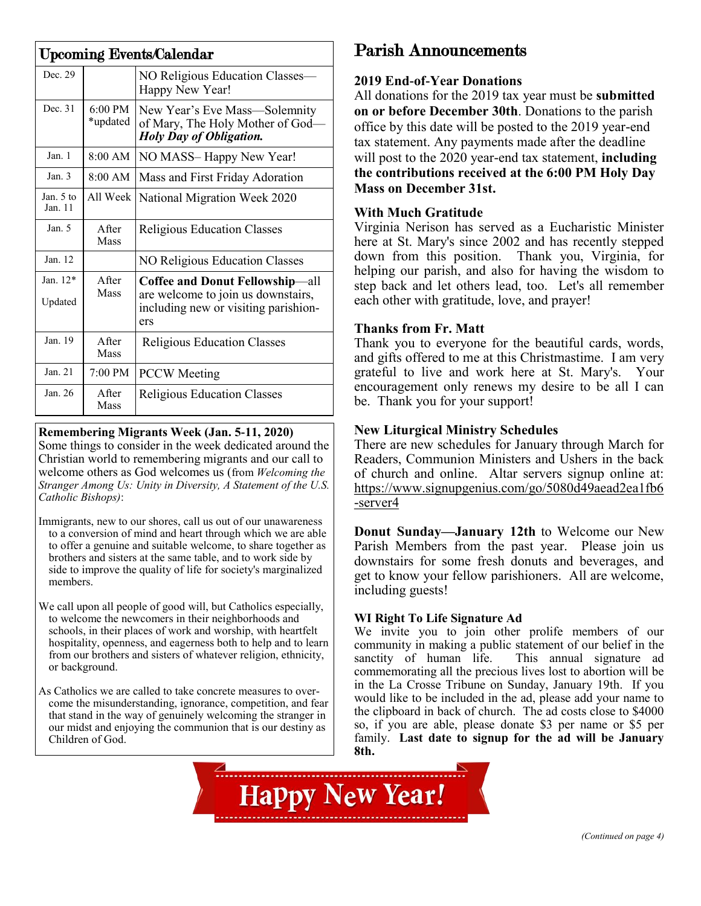| <b>Upcoming Events/Calendar</b> |                       |                                                                                                                      |  |  |
|---------------------------------|-----------------------|----------------------------------------------------------------------------------------------------------------------|--|--|
| Dec. 29                         |                       | NO Religious Education Classes-<br>Happy New Year!                                                                   |  |  |
| Dec. 31                         | 6:00 PM<br>*updated   | New Year's Eve Mass-Solemnity<br>of Mary, The Holy Mother of God-<br><b>Holy Day of Obligation.</b>                  |  |  |
| Jan. 1                          | $8:00$ AM             | NO MASS-Happy New Year!                                                                                              |  |  |
| Jan. $3$                        | $8:00$ AM             | Mass and First Friday Adoration                                                                                      |  |  |
| Jan. $5$ to<br>Jan. 11          | All Week              | National Migration Week 2020                                                                                         |  |  |
| Jan. $5$                        | A fter<br>Mass        | <b>Religious Education Classes</b>                                                                                   |  |  |
| Jan. 12                         |                       | NO Religious Education Classes                                                                                       |  |  |
| Jan. $12*$<br>Updated           | After<br>Mass         | Coffee and Donut Fellowship-all<br>are welcome to join us downstairs,<br>including new or visiting parishion-<br>ers |  |  |
| Jan. 19                         | <b>A</b> fter<br>Mass | <b>Religious Education Classes</b>                                                                                   |  |  |
| Jan. 21                         | $7:00 \text{ PM}$     | <b>PCCW</b> Meeting                                                                                                  |  |  |
| Jan. 26                         | After<br>Mass         | <b>Religious Education Classes</b>                                                                                   |  |  |

#### **Remembering Migrants Week (Jan. 5-11, 2020)**

Some things to consider in the week dedicated around the Christian world to remembering migrants and our call to welcome others as God welcomes us (from *Welcoming the Stranger Among Us: Unity in Diversity, A Statement of the U.S. Catholic Bishops)*:

Immigrants, new to our shores, call us out of our unawareness to a conversion of mind and heart through which we are able to offer a genuine and suitable welcome, to share together as brothers and sisters at the same table, and to work side by side to improve the quality of life for society's marginalized members.

We call upon all people of good will, but Catholics especially, to welcome the newcomers in their neighborhoods and schools, in their places of work and worship, with heartfelt hospitality, openness, and eagerness both to help and to learn from our brothers and sisters of whatever religion, ethnicity, or background.

As Catholics we are called to take concrete measures to overcome the misunderstanding, ignorance, competition, and fear that stand in the way of genuinely welcoming the stranger in our midst and enjoying the communion that is our destiny as Children of God.

# Parish Announcements

#### **2019 End-of-Year Donations**

All donations for the 2019 tax year must be **submitted on or before December 30th**. Donations to the parish office by this date will be posted to the 2019 year-end tax statement. Any payments made after the deadline will post to the 2020 year-end tax statement, **including the contributions received at the 6:00 PM Holy Day Mass on December 31st.**

#### **With Much Gratitude**

Virginia Nerison has served as a Eucharistic Minister here at St. Mary's since 2002 and has recently stepped down from this position. Thank you, Virginia, for helping our parish, and also for having the wisdom to step back and let others lead, too. Let's all remember each other with gratitude, love, and prayer!

#### **Thanks from Fr. Matt**

Thank you to everyone for the beautiful cards, words, and gifts offered to me at this Christmastime. I am very grateful to live and work here at St. Mary's. Your encouragement only renews my desire to be all I can be. Thank you for your support!

#### **New Liturgical Ministry Schedules**

There are new schedules for January through March for Readers, Communion Ministers and Ushers in the back of church and online. Altar servers signup online at: [https://www.signupgenius.com/go/5080d49aead2ea1fb6](https://www.signupgenius.com/go/5080d49aead2ea1fb6-server4) [-server4](https://www.signupgenius.com/go/5080d49aead2ea1fb6-server4)

**Donut Sunday—January 12th** to Welcome our New Parish Members from the past year. Please join us downstairs for some fresh donuts and beverages, and get to know your fellow parishioners. All are welcome, including guests!

#### **WI Right To Life Signature Ad**

We invite you to join other prolife members of our community in making a public statement of our belief in the sanctity of human life. This annual signature ad commemorating all the precious lives lost to abortion will be in the La Crosse Tribune on Sunday, January 19th. If you would like to be included in the ad, please add your name to the clipboard in back of church. The ad costs close to \$4000 so, if you are able, please donate \$3 per name or \$5 per family. **Last date to signup for the ad will be January 8th.**